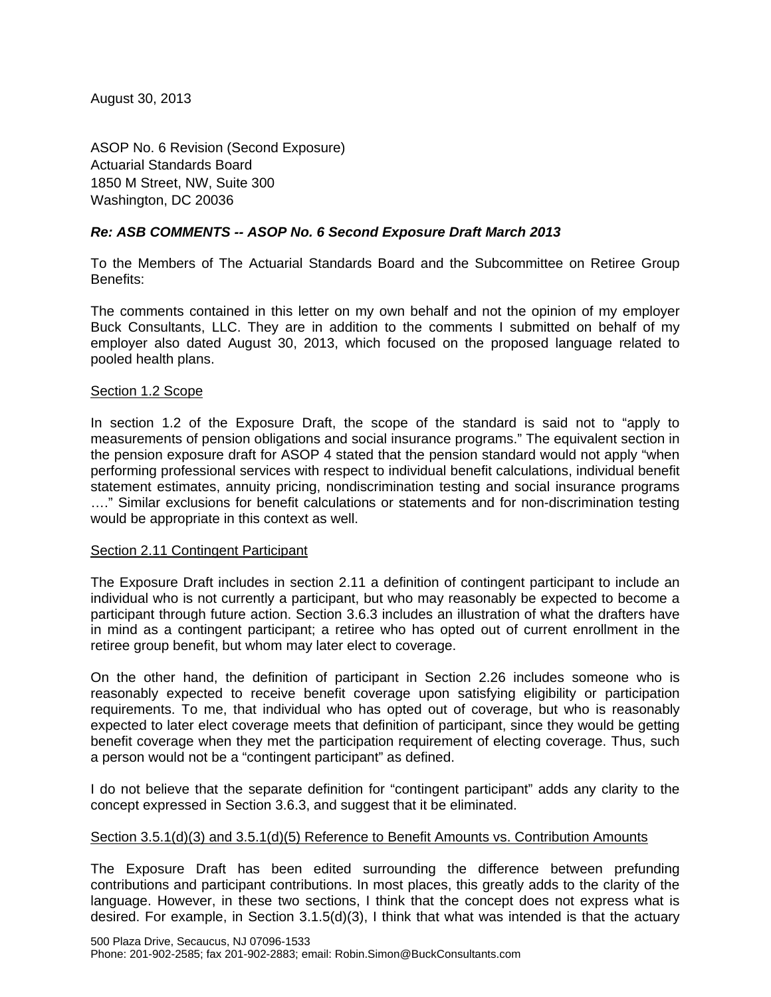August 30, 2013

ASOP No. 6 Revision (Second Exposure) Actuarial Standards Board 1850 M Street, NW, Suite 300 Washington, DC 20036

# *Re: ASB COMMENTS -- ASOP No. 6 Second Exposure Draft March 2013*

To the Members of The Actuarial Standards Board and the Subcommittee on Retiree Group Benefits:

The comments contained in this letter on my own behalf and not the opinion of my employer Buck Consultants, LLC. They are in addition to the comments I submitted on behalf of my employer also dated August 30, 2013, which focused on the proposed language related to pooled health plans.

### Section 1.2 Scope

In section 1.2 of the Exposure Draft, the scope of the standard is said not to "apply to measurements of pension obligations and social insurance programs." The equivalent section in the pension exposure draft for ASOP 4 stated that the pension standard would not apply "when performing professional services with respect to individual benefit calculations, individual benefit statement estimates, annuity pricing, nondiscrimination testing and social insurance programs …." Similar exclusions for benefit calculations or statements and for non-discrimination testing would be appropriate in this context as well.

### Section 2.11 Contingent Participant

The Exposure Draft includes in section 2.11 a definition of contingent participant to include an individual who is not currently a participant, but who may reasonably be expected to become a participant through future action. Section 3.6.3 includes an illustration of what the drafters have in mind as a contingent participant; a retiree who has opted out of current enrollment in the retiree group benefit, but whom may later elect to coverage.

On the other hand, the definition of participant in Section 2.26 includes someone who is reasonably expected to receive benefit coverage upon satisfying eligibility or participation requirements. To me, that individual who has opted out of coverage, but who is reasonably expected to later elect coverage meets that definition of participant, since they would be getting benefit coverage when they met the participation requirement of electing coverage. Thus, such a person would not be a "contingent participant" as defined.

I do not believe that the separate definition for "contingent participant" adds any clarity to the concept expressed in Section 3.6.3, and suggest that it be eliminated.

### Section 3.5.1(d)(3) and 3.5.1(d)(5) Reference to Benefit Amounts vs. Contribution Amounts

The Exposure Draft has been edited surrounding the difference between prefunding contributions and participant contributions. In most places, this greatly adds to the clarity of the language. However, in these two sections, I think that the concept does not express what is desired. For example, in Section 3.1.5(d)(3), I think that what was intended is that the actuary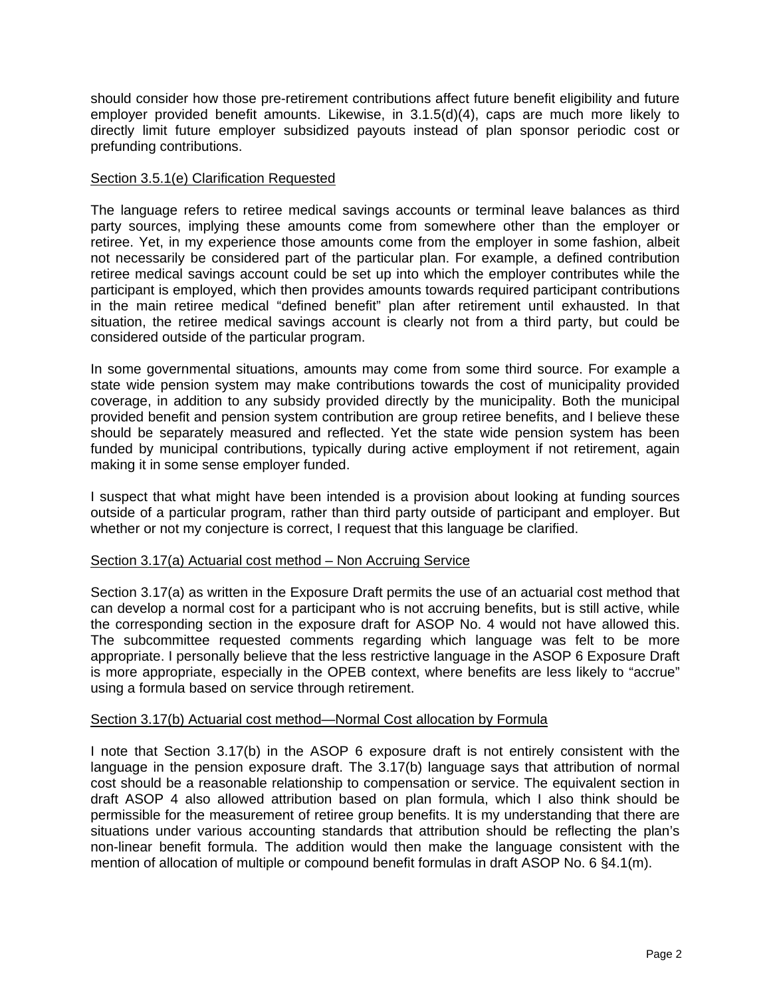should consider how those pre-retirement contributions affect future benefit eligibility and future employer provided benefit amounts. Likewise, in 3.1.5(d)(4), caps are much more likely to directly limit future employer subsidized payouts instead of plan sponsor periodic cost or prefunding contributions.

### Section 3.5.1(e) Clarification Requested

The language refers to retiree medical savings accounts or terminal leave balances as third party sources, implying these amounts come from somewhere other than the employer or retiree. Yet, in my experience those amounts come from the employer in some fashion, albeit not necessarily be considered part of the particular plan. For example, a defined contribution retiree medical savings account could be set up into which the employer contributes while the participant is employed, which then provides amounts towards required participant contributions in the main retiree medical "defined benefit" plan after retirement until exhausted. In that situation, the retiree medical savings account is clearly not from a third party, but could be considered outside of the particular program.

In some governmental situations, amounts may come from some third source. For example a state wide pension system may make contributions towards the cost of municipality provided coverage, in addition to any subsidy provided directly by the municipality. Both the municipal provided benefit and pension system contribution are group retiree benefits, and I believe these should be separately measured and reflected. Yet the state wide pension system has been funded by municipal contributions, typically during active employment if not retirement, again making it in some sense employer funded.

I suspect that what might have been intended is a provision about looking at funding sources outside of a particular program, rather than third party outside of participant and employer. But whether or not my conjecture is correct, I request that this language be clarified.

## Section 3.17(a) Actuarial cost method – Non Accruing Service

Section 3.17(a) as written in the Exposure Draft permits the use of an actuarial cost method that can develop a normal cost for a participant who is not accruing benefits, but is still active, while the corresponding section in the exposure draft for ASOP No. 4 would not have allowed this. The subcommittee requested comments regarding which language was felt to be more appropriate. I personally believe that the less restrictive language in the ASOP 6 Exposure Draft is more appropriate, especially in the OPEB context, where benefits are less likely to "accrue" using a formula based on service through retirement.

### Section 3.17(b) Actuarial cost method—Normal Cost allocation by Formula

I note that Section 3.17(b) in the ASOP 6 exposure draft is not entirely consistent with the language in the pension exposure draft. The 3.17(b) language says that attribution of normal cost should be a reasonable relationship to compensation or service. The equivalent section in draft ASOP 4 also allowed attribution based on plan formula, which I also think should be permissible for the measurement of retiree group benefits. It is my understanding that there are situations under various accounting standards that attribution should be reflecting the plan's non-linear benefit formula. The addition would then make the language consistent with the mention of allocation of multiple or compound benefit formulas in draft ASOP No. 6 §4.1(m).